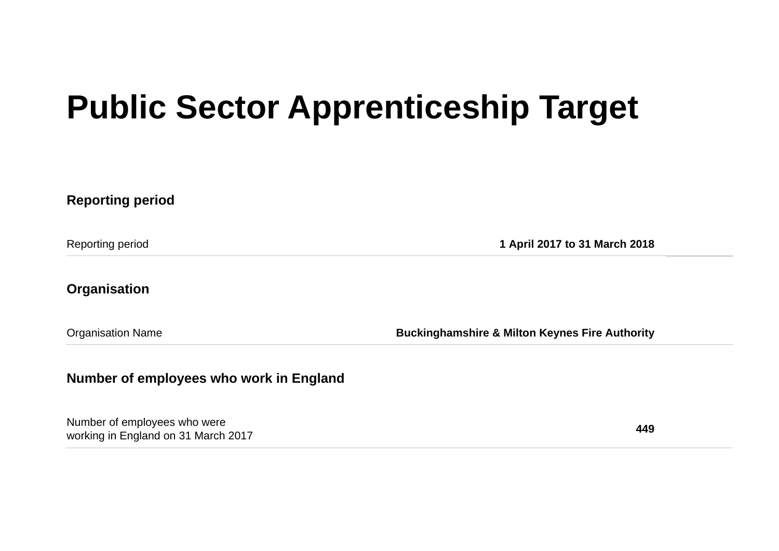## **Public Sector Apprenticeship Target**

**Reporting period** Reporting period **1 April 2017 to 31 March 2018 Organisation** Organisation Name **Buckinghamshire & Milton Keynes Fire Authority Number of employees who work in England**

Number of employees who were working in England on 31 March 2017 **449**<br>working in England on 31 March 2017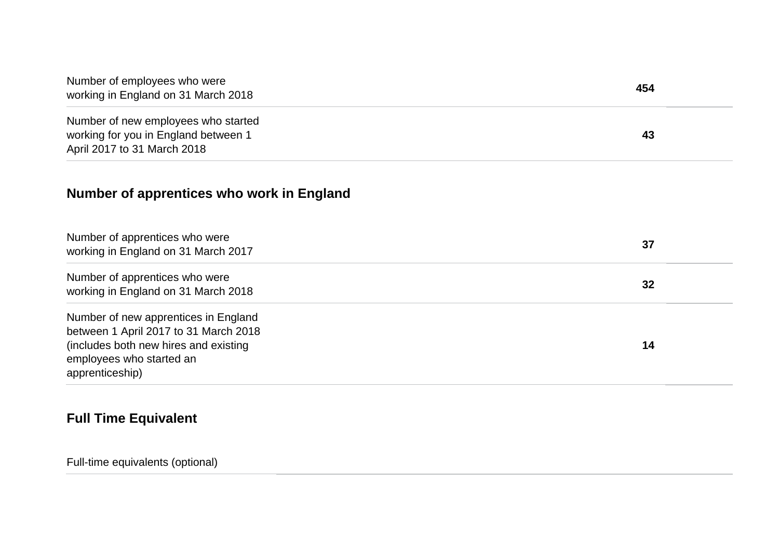| Number of employees who were<br>working in England on 31 March 2018                                                                                                   | 454 |
|-----------------------------------------------------------------------------------------------------------------------------------------------------------------------|-----|
| Number of new employees who started<br>working for you in England between 1<br>April 2017 to 31 March 2018                                                            | 43  |
| Number of apprentices who work in England                                                                                                                             |     |
| Number of apprentices who were<br>working in England on 31 March 2017                                                                                                 | 37  |
| Number of apprentices who were<br>working in England on 31 March 2018                                                                                                 | 32  |
| Number of new apprentices in England<br>between 1 April 2017 to 31 March 2018<br>(includes both new hires and existing<br>employees who started an<br>apprenticeship) | 14  |

## **Full Time Equivalent**

Full-time equivalents (optional)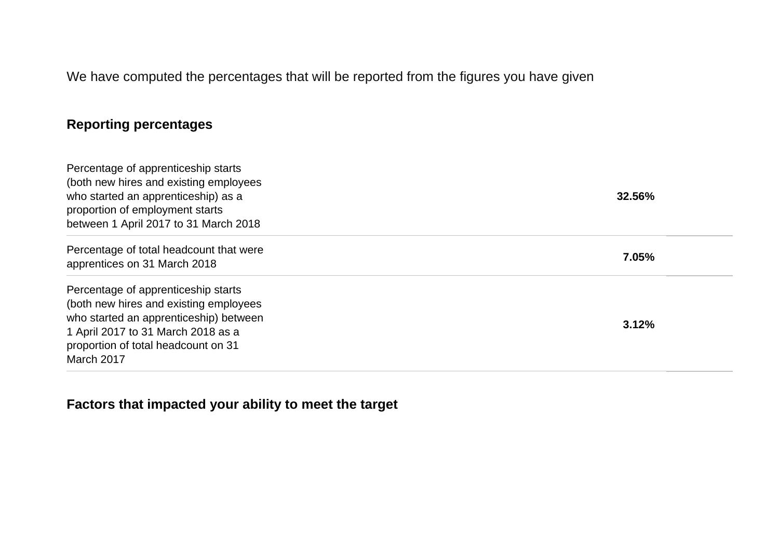We have computed the percentages that will be reported from the figures you have given

## **Reporting percentages**

| Percentage of apprenticeship starts<br>(both new hires and existing employees<br>who started an apprenticeship) as a<br>proportion of employment starts<br>between 1 April 2017 to 31 March 2018                   | 32.56% |
|--------------------------------------------------------------------------------------------------------------------------------------------------------------------------------------------------------------------|--------|
| Percentage of total headcount that were<br>apprentices on 31 March 2018                                                                                                                                            | 7.05%  |
| Percentage of apprenticeship starts<br>(both new hires and existing employees<br>who started an apprenticeship) between<br>1 April 2017 to 31 March 2018 as a<br>proportion of total headcount on 31<br>March 2017 | 3.12%  |

**Factors that impacted your ability to meet the target**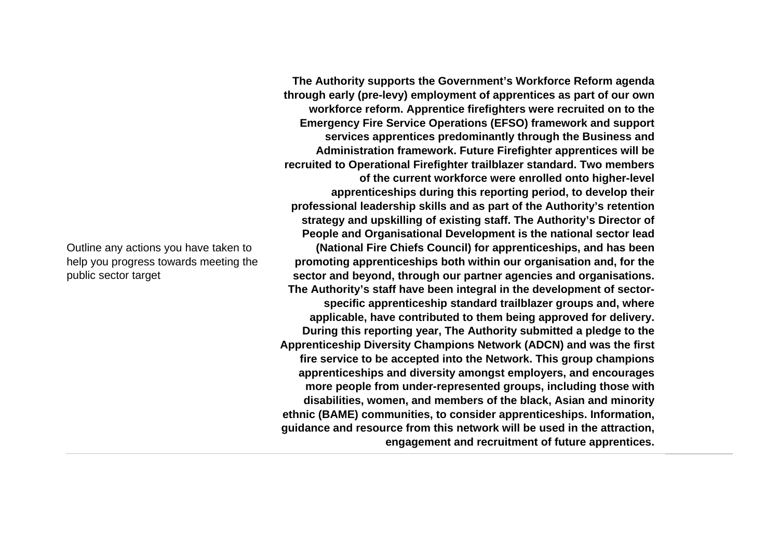Outline any actions you have taken to help you progress towards meeting the public sector target

**The Authority supports the Government's Workforce Reform agenda through early (pre-levy) employment of apprentices as part of our own workforce reform. Apprentice firefighters were recruited on to the Emergency Fire Service Operations (EFSO) framework and support services apprentices predominantly through the Business and Administration framework. Future Firefighter apprentices will be recruited to Operational Firefighter trailblazer standard. Two members of the current workforce were enrolled onto higher-level apprenticeships during this reporting period, to develop their professional leadership skills and as part of the Authority's retention strategy and upskilling of existing staff. The Authority's Director of People and Organisational Development is the national sector lead (National Fire Chiefs Council) for apprenticeships, and has been promoting apprenticeships both within our organisation and, for the sector and beyond, through our partner agencies and organisations. The Authority's staff have been integral in the development of sectorspecific apprenticeship standard trailblazer groups and, where applicable, have contributed to them being approved for delivery. During this reporting year, The Authority submitted a pledge to the Apprenticeship Diversity Champions Network (ADCN) and was the first fire service to be accepted into the Network. This group champions apprenticeships and diversity amongst employers, and encourages more people from under-represented groups, including those with disabilities, women, and members of the black, Asian and minority ethnic (BAME) communities, to consider apprenticeships. Information, guidance and resource from this network will be used in the attraction, engagement and recruitment of future apprentices.**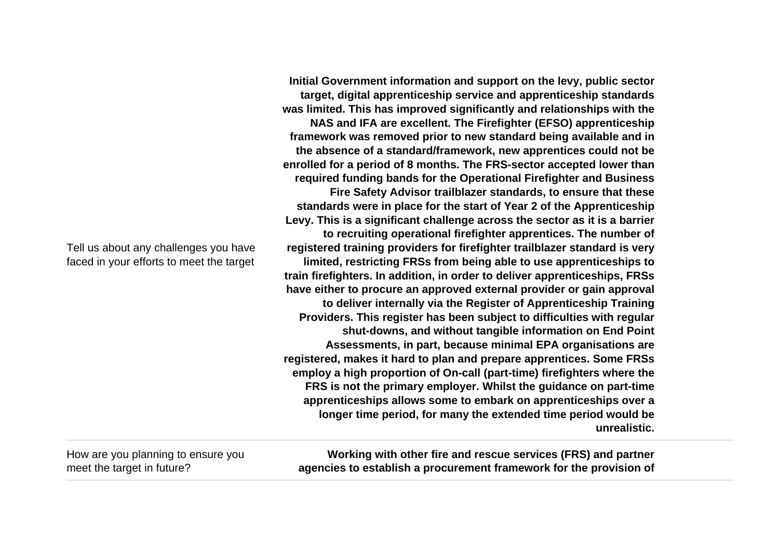Tell us about any challenges you have faced in your efforts to meet the target

**Initial Government information and support on the levy, public sector target, digital apprenticeship service and apprenticeship standards was limited. This has improved significantly and relationships with the NAS and IFA are excellent. The Firefighter (EFSO) apprenticeship framework was removed prior to new standard being available and in the absence of a standard/framework, new apprentices could not be enrolled for a period of 8 months. The FRS-sector accepted lower than required funding bands for the Operational Firefighter and Business Fire Safety Advisor trailblazer standards, to ensure that these standards were in place for the start of Year 2 of the Apprenticeship Levy. This is a significant challenge across the sector as it is a barrier to recruiting operational firefighter apprentices. The number of registered training providers for firefighter trailblazer standard is very limited, restricting FRSs from being able to use apprenticeships to train firefighters. In addition, in order to deliver apprenticeships, FRSs have either to procure an approved external provider or gain approval to deliver internally via the Register of Apprenticeship Training Providers. This register has been subject to difficulties with regular shut-downs, and without tangible information on End Point Assessments, in part, because minimal EPA organisations are registered, makes it hard to plan and prepare apprentices. Some FRSs employ a high proportion of On-call (part-time) firefighters where the FRS is not the primary employer. Whilst the guidance on part-time apprenticeships allows some to embark on apprenticeships over a longer time period, for many the extended time period would be unrealistic.** 

How are you planning to ensure you meet the target in future?

**Working with other fire and rescue services (FRS) and partner agencies to establish a procurement framework for the provision of**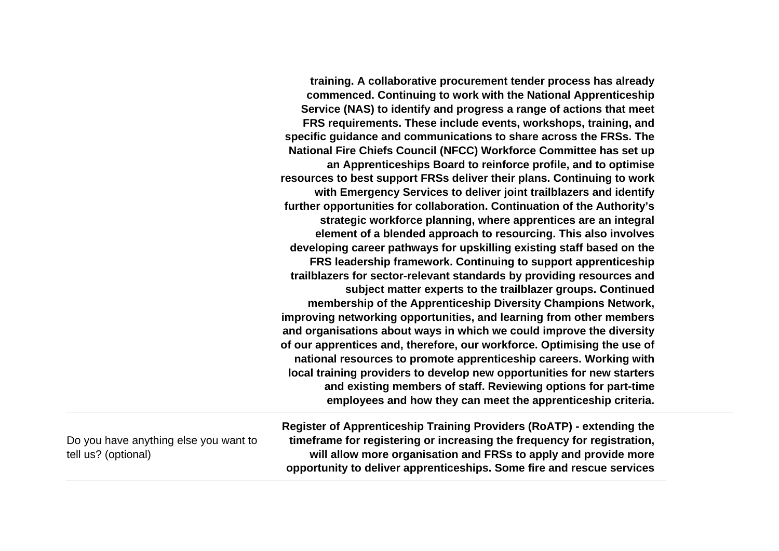**training. A collaborative procurement tender process has already commenced. Continuing to work with the National Apprenticeship Service (NAS) to identify and progress a range of actions that meet FRS requirements. These include events, workshops, training, and specific guidance and communications to share across the FRSs. The National Fire Chiefs Council (NFCC) Workforce Committee has set up an Apprenticeships Board to reinforce profile, and to optimise resources to best support FRSs deliver their plans. Continuing to work with Emergency Services to deliver joint trailblazers and identify further opportunities for collaboration. Continuation of the Authority's strategic workforce planning, where apprentices are an integral element of a blended approach to resourcing. This also involves developing career pathways for upskilling existing staff based on the FRS leadership framework. Continuing to support apprenticeship trailblazers for sector-relevant standards by providing resources and subject matter experts to the trailblazer groups. Continued membership of the Apprenticeship Diversity Champions Network, improving networking opportunities, and learning from other members and organisations about ways in which we could improve the diversity of our apprentices and, therefore, our workforce. Optimising the use of national resources to promote apprenticeship careers. Working with local training providers to develop new opportunities for new starters and existing members of staff. Reviewing options for part-time employees and how they can meet the apprenticeship criteria.**

Do you have anything else you want to tell us? (optional)

**Register of Apprenticeship Training Providers (RoATP) - extending the timeframe for registering or increasing the frequency for registration, will allow more organisation and FRSs to apply and provide more opportunity to deliver apprenticeships. Some fire and rescue services**